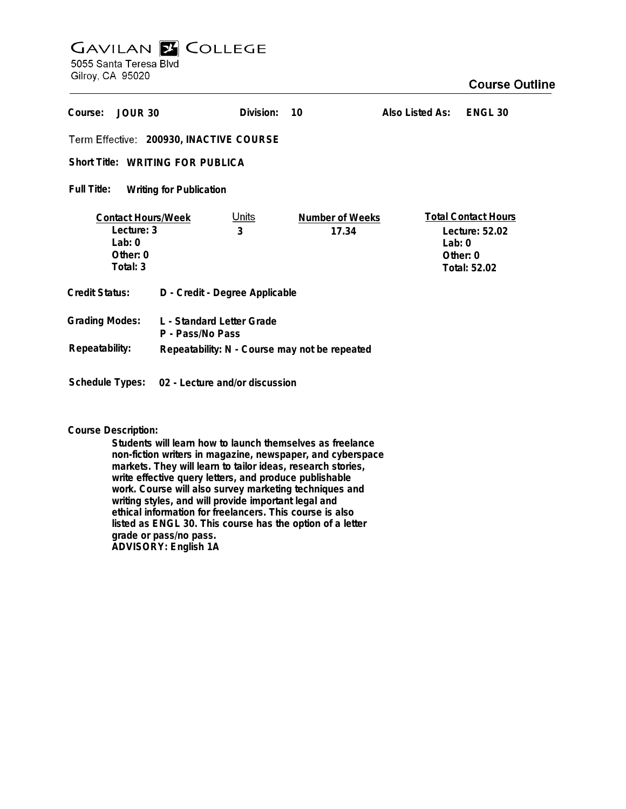# **GAVILAN E COLLEGE** 5055 Santa Teresa Blvd

Gilroy, CA 95020

| Course:<br>JOUR 30                                                          |                                | Division:  | 10                              | Also Listed As:        | ENGL <sub>30</sub>                                           |
|-----------------------------------------------------------------------------|--------------------------------|------------|---------------------------------|------------------------|--------------------------------------------------------------|
| Term Effective: 200930, INACTIVE COURSE                                     |                                |            |                                 |                        |                                                              |
| <b>Short Title: WRITING FOR PUBLICA</b>                                     |                                |            |                                 |                        |                                                              |
| Full Title:<br><b>Writing for Publication</b>                               |                                |            |                                 |                        |                                                              |
| <b>Contact Hours/Week</b><br>Lecture: 3<br>Lab: $0$<br>Other: 0<br>Total: 3 |                                | Units<br>3 | <b>Number of Weeks</b><br>17.34 | Lab: $0$<br>Other: $0$ | <b>Total Contact Hours</b><br>Lecture: 52.02<br>Total: 52.02 |
| Credit Status:                                                              | D - Credit - Degree Applicable |            |                                 |                        |                                                              |
| <b>Grading Modes:</b><br>L - Standard Letter Grade<br>P - Pass/No Pass      |                                |            |                                 |                        |                                                              |
| Repeatability:<br>Repeatability: N - Course may not be repeated             |                                |            |                                 |                        |                                                              |
| <b>Schedule Types:</b>                                                      | 02 - Lecture and/or discussion |            |                                 |                        |                                                              |

**Course Description:**

**Students will learn how to launch themselves as freelance non-fiction writers in magazine, newspaper, and cyberspace markets. They will learn to tailor ideas, research stories, write effective query letters, and produce publishable work. Course will also survey marketing techniques and writing styles, and will provide important legal and ethical information for freelancers. This course is also listed as ENGL 30. This course has the option of a letter grade or pass/no pass. ADVISORY: English 1A**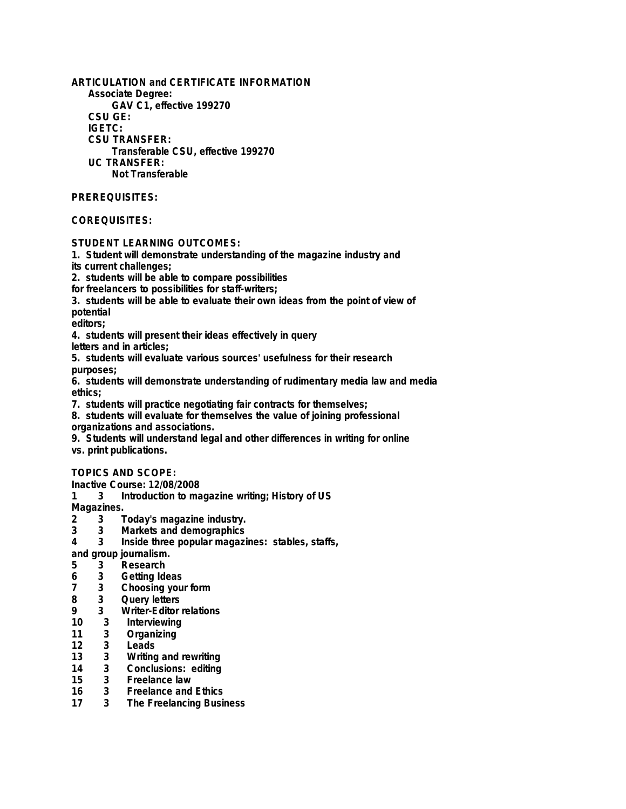**ARTICULATION and CERTIFICATE INFORMATION Associate Degree: GAV C1, effective 199270 CSU GE: IGETC: CSU TRANSFER: Transferable CSU, effective 199270 UC TRANSFER: Not Transferable**

## **PREREQUISITES:**

# **COREQUISITES:**

#### **STUDENT LEARNING OUTCOMES:**

**1. Student will demonstrate understanding of the magazine industry and**

**its current challenges;**

**2. students will be able to compare possibilities**

**for freelancers to possibilities for staff-writers;**

**3. students will be able to evaluate their own ideas from the point of view of potential**

**editors;**

**4. students will present their ideas effectively in query**

**letters and in articles;**

**5. students will evaluate various sources' usefulness for their research purposes;**

**6. students will demonstrate understanding of rudimentary media law and media ethics;**

**7. students will practice negotiating fair contracts for themselves;**

**8. students will evaluate for themselves the value of joining professional organizations and associations.**

**9. Students will understand legal and other differences in writing for online vs. print publications.**

## **TOPICS AND SCOPE:**

**Inactive Course: 12/08/2008**

**1 3 Introduction to magazine writing; History of US**

Magazines.<br>2 3 1

- **2 3 Today's magazine industry.**
- **3 3 Markets and demographics**
- **4 3 Inside three popular magazines: stables, staffs,**

**and group journalism.**

- **5 3 Research**
- 
- **6 3 Getting Ideas 7 3 Choosing your form**
- **8 3 Query letters**
- **9 3 Writer-Editor relations**
- **10 3 Interviewing**
- **11 3 Organizing**
- **12 3 Leads**
- **13 3 Writing and rewriting**
- **14 3 Conclusions: editing**
- **15 3 Freelance law**
- **16 3 Freelance and Ethics**
- **17 3 The Freelancing Business**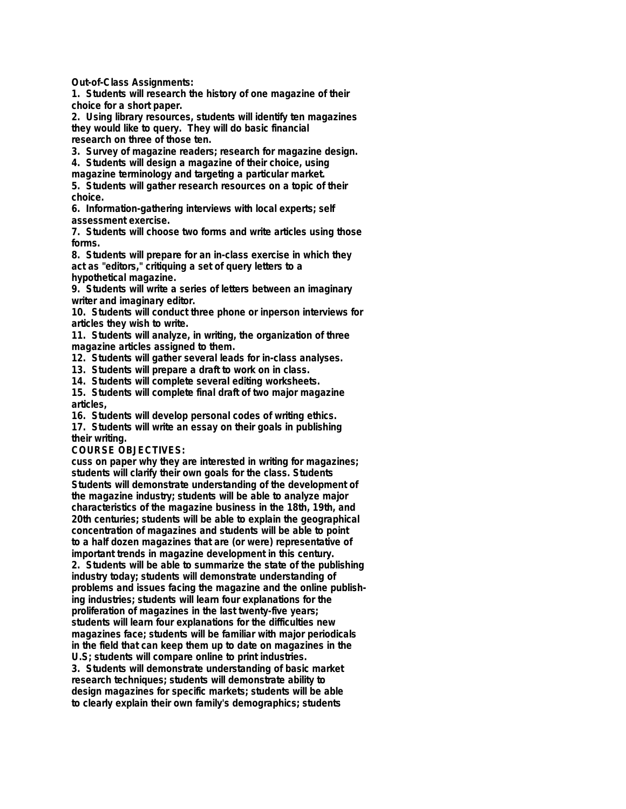**Out-of-Class Assignments:**

**1. Students will research the history of one magazine of their choice for a short paper.**

**2. Using library resources, students will identify ten magazines they would like to query. They will do basic financial research on three of those ten.**

**3. Survey of magazine readers; research for magazine design.**

**4. Students will design a magazine of their choice, using**

**magazine terminology and targeting a particular market. 5. Students will gather research resources on a topic of their**

**choice.**

**6. Information-gathering interviews with local experts; self assessment exercise.**

**7. Students will choose two forms and write articles using those forms.**

**8. Students will prepare for an in-class exercise in which they act as "editors," critiquing a set of query letters to a hypothetical magazine.**

**9. Students will write a series of letters between an imaginary writer and imaginary editor.**

**10. Students will conduct three phone or inperson interviews for articles they wish to write.**

**11. Students will analyze, in writing, the organization of three magazine articles assigned to them.**

**12. Students will gather several leads for in-class analyses.**

**13. Students will prepare a draft to work on in class.**

**14. Students will complete several editing worksheets.**

**15. Students will complete final draft of two major magazine articles,**

**16. Students will develop personal codes of writing ethics.**

**17. Students will write an essay on their goals in publishing their writing.**

**COURSE OBJECTIVES:**

**cuss on paper why they are interested in writing for magazines; students will clarify their own goals for the class. Students Students will demonstrate understanding of the development of the magazine industry; students will be able to analyze major characteristics of the magazine business in the 18th, 19th, and 20th centuries; students will be able to explain the geographical concentration of magazines and students will be able to point to a half dozen magazines that are (or were) representative of important trends in magazine development in this century. 2. Students will be able to summarize the state of the publishing**

**industry today; students will demonstrate understanding of problems and issues facing the magazine and the online publishing industries; students will learn four explanations for the proliferation of magazines in the last twenty-five years; students will learn four explanations for the difficulties new magazines face; students will be familiar with major periodicals in the field that can keep them up to date on magazines in the U.S; students will compare online to print industries.**

**3. Students will demonstrate understanding of basic market research techniques; students will demonstrate ability to design magazines for specific markets; students will be able to clearly explain their own family's demographics; students**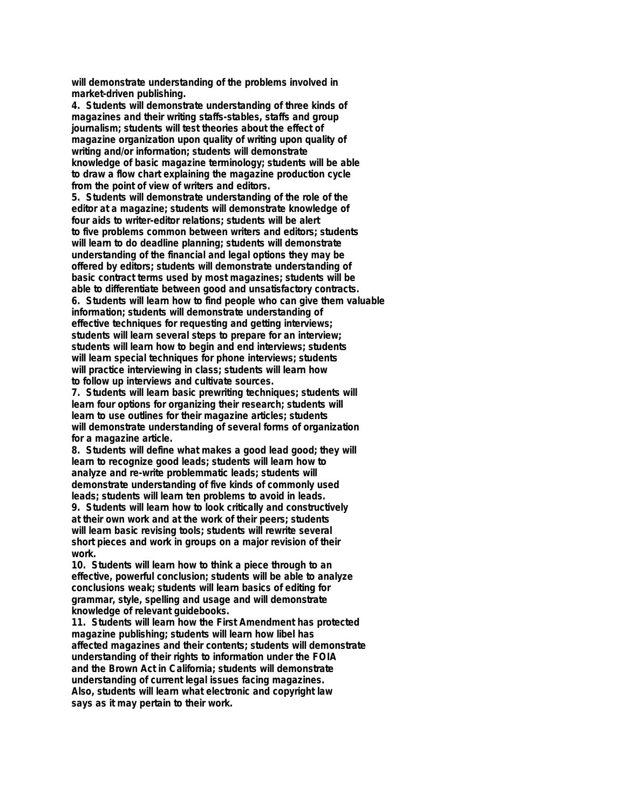**will demonstrate understanding of the problems involved in market-driven publishing.**

**4. Students will demonstrate understanding of three kinds of magazines and their writing staffs-stables, staffs and group journalism; students will test theories about the effect of magazine organization upon quality of writing upon quality of writing and/or information; students will demonstrate knowledge of basic magazine terminology; students will be able to draw a flow chart explaining the magazine production cycle from the point of view of writers and editors.**

**5. Students will demonstrate understanding of the role of the editor at a magazine; students will demonstrate knowledge of four aids to writer-editor relations; students will be alert to five problems common between writers and editors; students will learn to do deadline planning; students will demonstrate understanding of the financial and legal options they may be offered by editors; students will demonstrate understanding of basic contract terms used by most magazines; students will be able to differentiate between good and unsatisfactory contracts. 6. Students will learn how to find people who can give them valuable information; students will demonstrate understanding of effective techniques for requesting and getting interviews; students will learn several steps to prepare for an interview; students will learn how to begin and end interviews; students will learn special techniques for phone interviews; students will practice interviewing in class; students will learn how to follow up interviews and cultivate sources.**

**7. Students will learn basic prewriting techniques; students will learn four options for organizing their research; students will learn to use outlines for their magazine articles; students will demonstrate understanding of several forms of organization for a magazine article.**

**8. Students will define what makes a good lead good; they will learn to recognize good leads; students will learn how to analyze and re-write problemmatic leads; students will demonstrate understanding of five kinds of commonly used leads; students will learn ten problems to avoid in leads.**

**9. Students will learn how to look critically and constructively at their own work and at the work of their peers; students will learn basic revising tools; students will rewrite several short pieces and work in groups on a major revision of their work.**

**10. Students will learn how to think a piece through to an effective, powerful conclusion; students will be able to analyze conclusions weak; students will learn basics of editing for grammar, style, spelling and usage and will demonstrate knowledge of relevant guidebooks.**

**11. Students will learn how the First Amendment has protected magazine publishing; students will learn how libel has affected magazines and their contents; students will demonstrate understanding of their rights to information under the FOIA and the Brown Act in California; students will demonstrate understanding of current legal issues facing magazines. Also, students will learn what electronic and copyright law says as it may pertain to their work.**